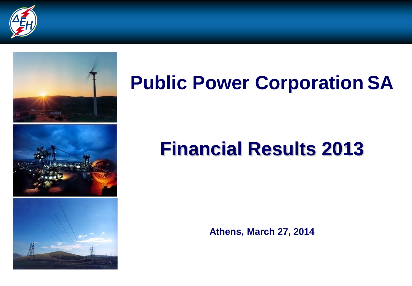



## **Public Power Corporation SA**

## **Financial Results 2013**

**Athens, March 27, 2014**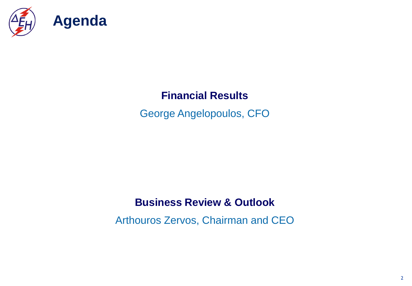

### **Financial Results**

George Angelopoulos, CFO

#### **Business Review & Outlook**

Arthouros Zervos, Chairman and CEO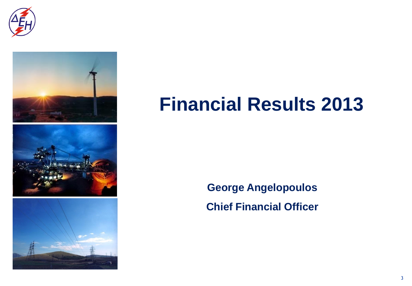



## **Financial Results 2013**

**George Angelopoulos Chief Financial Officer**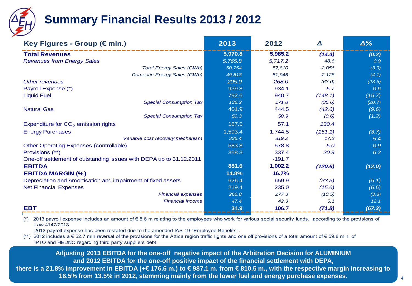

### **Summary Financial Results 2013 / 2012**

| Key Figures - Group (€ mln.)                                        | 2013    | 2012     | Δ        | $\Delta\%$ |
|---------------------------------------------------------------------|---------|----------|----------|------------|
| <b>Total Revenues</b>                                               | 5,970.8 | 5,985.2  | (14.4)   | (0.2)      |
| <b>Revenues from Energy Sales</b>                                   | 5,765.8 | 5,717.2  | 48.6     | 0.9        |
| <b>Total Energy Sales (GWh)</b>                                     | 50,754  | 52,810   | $-2,056$ | (3.9)      |
| Domestic Energy Sales (GWh)                                         | 49,818  | 51,946   | $-2,128$ | (4.1)      |
| Other revenues                                                      | 205.0   | 268.0    | (63.0)   | (23.5)     |
| Payroll Expense (*)                                                 | 939.8   | 934.1    | 5.7      | 0.6        |
| <b>Liquid Fuel</b>                                                  | 792.6   | 940.7    | (148.1)  | (15.7)     |
| <b>Special Consumption Tax</b>                                      | 136.2   | 171.8    | (35.6)   | (20.7)     |
| <b>Natural Gas</b>                                                  | 401.9   | 444.5    | (42.6)   | (9.6)      |
| <b>Special Consumption Tax</b>                                      | 50.3    | 50.9     | (0.6)    | (1.2)      |
| Expenditure for CO <sub>2</sub> emission rights                     | 187.5   | 57.1     | 130.4    |            |
| <b>Energy Purchases</b>                                             | 1,593.4 | 1,744.5  | (151.1)  | (8.7)      |
| Variable cost recovery mechanism                                    | 336.4   | 319.2    | 17.2     | 5.4        |
| <b>Other Operating Expenses (controllable)</b>                      | 583.8   | 578.8    | 5.0      | 0.9        |
| Provisions (**)                                                     | 358.3   | 337.4    | 20.9     | 6.2        |
| One-off settlement of outstanding issues with DEPA up to 31.12.2011 |         | $-191.7$ |          |            |
| <b>EBITDA</b>                                                       | 881.6   | 1,002.2  | (120.6)  | (12.0)     |
| <b>EBITDA MARGIN (%)</b>                                            | 14.8%   | 16.7%    |          |            |
| Depreciation and Amortisation and impairment of fixed assets        | 626.4   | 659.9    | (33.5)   | (5.1)      |
| <b>Net Financial Expenses</b>                                       | 219.4   | 235.0    | (15.6)   | (6.6)      |
| <b>Financial expenses</b>                                           | 266.8   | 277.3    | (10.5)   | (3.8)      |
| <b>Financial income</b>                                             | 47.4    | 42.3     | 5.1      | 12.1       |
| <b>EBT</b>                                                          | 34.9    | 106.7    | (71.8)   | (67.3)     |

(\*) 2013 payroll expense includes an amount of  $\epsilon$  8.6 m relating to the employees who work for various social security funds, according to the provisions of Law 4147/2013.

2012 payroll expense has been restated due to the amended IAS 19 "Employee Benefits".

(\*\*) 2012 includes a € 52.7 mln reversal of the provisions for the Attica region traffic lights and one off provisions of a total amount of € 59.8 mln. of IPTO and HEDNO regarding third party suppliers debt.

**Adjusting 2013 EBITDA for the one-off negative impact of the Arbitration Decision for ALUMINIUM and 2012 EBITDA for the one-off positive impact of the financial settlement with DEPA, there is a 21.8% improvement in EBITDA (+€ 176.6 m.) to € 987.1 m. from € 810.5 m., with the respective margin increasing to 16.5% from 13.5% in 2012, stemming mainly from the lower fuel and energy purchase expenses.**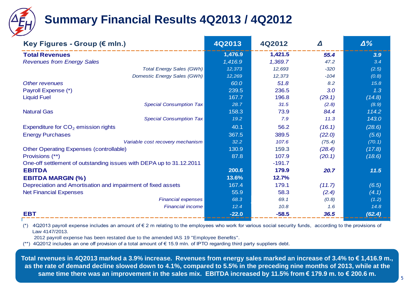

### **Summary Financial Results 4Q2013 / 4Q2012**

| Key Figures - Group (€ mln.)                                        | 4Q2013  | 4Q2012   | Δ      | $\Delta\%$ |
|---------------------------------------------------------------------|---------|----------|--------|------------|
| <b>Total Revenues</b>                                               | 1,476.9 | 1,421.5  | 55.4   | 3.9        |
| <b>Revenues from Energy Sales</b>                                   | 1,416.9 | 1,369.7  | 47.2   | 3.4        |
| <b>Total Energy Sales (GWh)</b>                                     | 12,373  | 12,693   | $-320$ | (2.5)      |
| Domestic Energy Sales (GWh)                                         | 12,269  | 12,373   | $-104$ | (0.8)      |
| Other revenues                                                      | 60.0    | 51.8     | 8.2    | 15.8       |
| Payroll Expense (*)                                                 | 239.5   | 236.5    | 3.0    | 1.3        |
| <b>Liquid Fuel</b>                                                  | 167.7   | 196.8    | (29.1) | (14.8)     |
| <b>Special Consumption Tax</b>                                      | 28.7    | 31.5     | (2.8)  | (8.9)      |
| <b>Natural Gas</b>                                                  | 158.3   | 73.9     | 84.4   | 114.2      |
| <b>Special Consumption Tax</b>                                      | 19.2    | 7.9      | 11.3   | 143.0      |
| Expenditure for $CO2$ emission rights                               | 40.1    | 56.2     | (16.1) | (28.6)     |
| <b>Energy Purchases</b>                                             | 367.5   | 389.5    | (22.0) | (5.6)      |
| Variable cost recovery mechanism                                    | 32.2    | 107.6    | (75.4) | (70.1)     |
| <b>Other Operating Expenses (controllable)</b>                      | 130.9   | 159.3    | (28.4) | (17.8)     |
| Provisions (**)                                                     | 87.8    | 107.9    | (20.1) | (18.6)     |
| One-off settlement of outstanding issues with DEPA up to 31.12.2011 |         | $-191.7$ |        |            |
| <b>EBITDA</b>                                                       | 200.6   | 179.9    | 20.7   | $11.5$     |
| <b>EBITDA MARGIN (%)</b>                                            | 13.6%   | 12.7%    |        |            |
| Depreciation and Amortisation and impairment of fixed assets        | 167.4   | 179.1    | (11.7) | (6.5)      |
| <b>Net Financial Expenses</b>                                       | 55.9    | 58.3     | (2.4)  | (4.1)      |
| <b>Financial expenses</b>                                           | 68.3    | 69.1     | (0.8)  | (1.2)      |
| <b>Financial income</b>                                             | 12.4    | 10.8     | 1.6    | 14.8       |
| <b>EBT</b>                                                          | $-22.0$ | $-58.5$  | 36.5   | (62.4)     |

(\*) 4Q2013 payroll expense includes an amount of  $\epsilon$  2 m relating to the employees who work for various social security funds, according to the provisions of Law 4147/2013.

2012 payroll expense has been restated due to the amended IAS 19 "Employee Benefits".

(\*\*) 4Q2012 includes an one off provision of a total amount of € 15.9 mln. of IPTO regarding third party suppliers debt.

**Total revenues in 4Q2013 marked a 3.9% increase. Revenues from energy sales marked an increase of 3.4% to € 1,416.9 m., as the rate of demand decline slowed down to 4.1%, compared to 5.5% in the preceding nine months of 2013, while at the same time there was an improvement in the sales mix. EBITDA increased by 11.5% from € 179.9 m. to € 200.6 m.**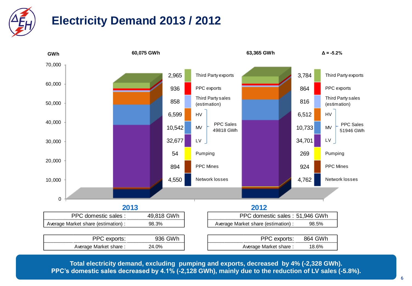

### **Electricity Demand 2013 / 2012**



**Total electricity demand, excluding pumping and exports, decreased by 4% (-2,328 GWh). PPC's domestic sales decreased by 4.1% (-2,128 GWh), mainly due to the reduction of LV sales (-5.8%).**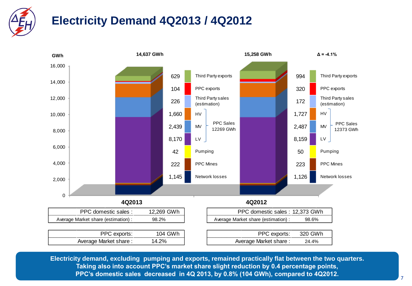

### **Electricity Demand 4Q2013 / 4Q2012**



**Electricity demand, excluding pumping and exports, remained practically flat between the two quarters. Taking also into account PPC's market share slight reduction by 0.4 percentage points, PPC's domestic sales decreased in 4Q 2013, by 0.8% (104 GWh), compared to 4Q2012.**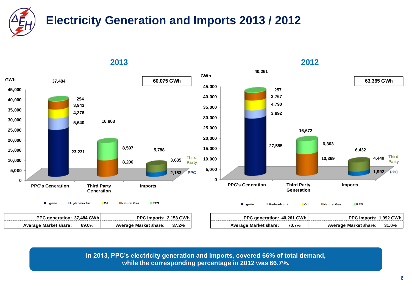



**In 2013, PPC's electricity generation and imports, covered 66% of total demand, while the corresponding percentage in 2012 was 66.7%.**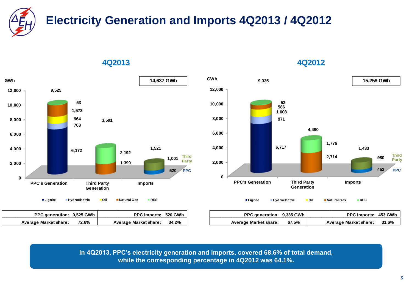**Electricity Generation and Imports 4Q2013 / 4Q2012**



| 4Q2013 | 4Q2012 |
|--------|--------|
|        |        |



**In 4Q2013, PPC's electricity generation and imports, covered 68.6% of total demand, while the corresponding percentage in 4Q2012 was 64.1%.**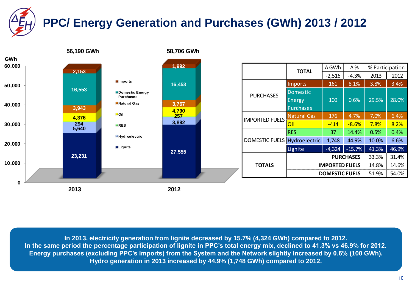# **PPC/ Energy Generation and Purchases (GWh) 2013 / 2012**



**In 2013, electricity generation from lignite decreased by 15.7% (4,324 GWh) compared to 2012. In the same period the percentage participation of lignite in PPC's total energy mix, declined to 41.3% vs 46.9% for 2012. Energy purchases (excluding PPC's imports) from the System and the Network slightly increased by 0.6% (100 GWh). Hydro generation in 2013 increased by 44.9% (1,748 GWh) compared to 2012.**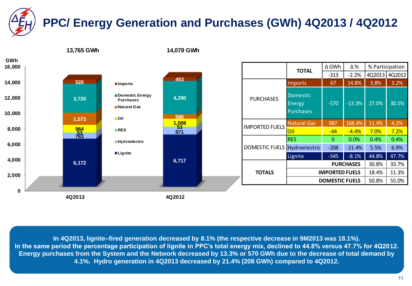# **PPC/ Energy Generation and Purchases (GWh) 4Q2013 / 4Q2012**



**In 4Q2013, lignite–fired generation decreased by 8.1% (the respective decrease in 9M2013 was 18.1%). In the same period the percentage participation of lignite in PPC's total energy mix, declined to 44.8% versus 47.7% for 4Q2012. Energy purchases from the System and the Network decreased by 13.3% or 570 GWh due to the decrease of total demand by 4.1%. Hydro generation in 4Q2013 decreased by 21.4% (208 GWh) compared to 4Q2012.**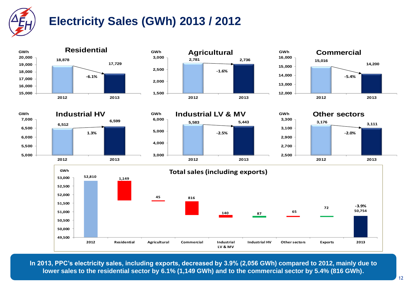

### **Electricity Sales (GWh) 2013 / 2012**















**In 2013, PPC's electricity sales, including exports, decreased by 3.9% (2,056 GWh) compared to 2012, mainly due to lower sales to the residential sector by 6.1% (1,149 GWh) and to the commercial sector by 5.4% (816 GWh).**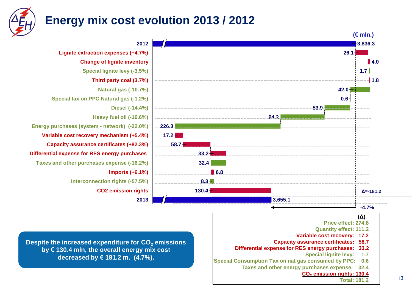

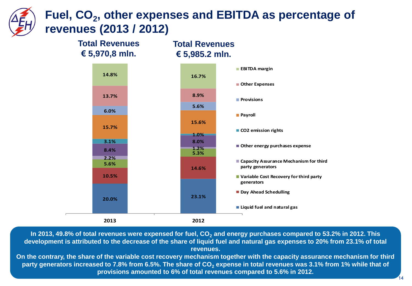### **Fuel, CO<sup>2</sup> , other expenses and EBITDA as percentage of revenues (2013 / 2012)**



**In 2013, 49.8% of total revenues were expensed for fuel, CO<sup>2</sup> and energy purchases compared to 53.2% in 2012. This development is attributed to the decrease of the share of liquid fuel and natural gas expenses to 20% from 23.1% of total revenues.** 

**On the contrary, the share of the variable cost recovery mechanism together with the capacity assurance mechanism for third party generators increased to 7.8% from 6.5%. The share of CO<sup>2</sup> expense in total revenues was 3.1% from 1% while that of provisions amounted to 6% of total revenues compared to 5.6% in 2012.**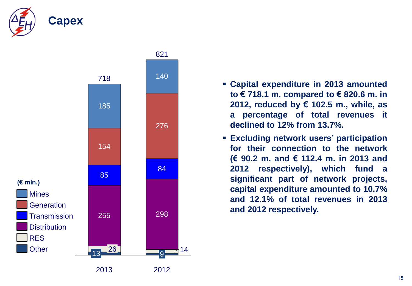



- **Capital expenditure in 2013 amounted to € 718.1 m. compared to € 820.6 m. in 2012, reduced by € 102.5 m., while, as a percentage of total revenues it declined to 12% from 13.7%.**
- **Excluding network users' participation for their connection to the network (€ 90.2 m. and € 112.4 m. in 2013 and 2012 respectively), which fund a significant part of network projects, capital expenditure amounted to 10.7% and 12.1% of total revenues in 2013 and 2012 respectively.**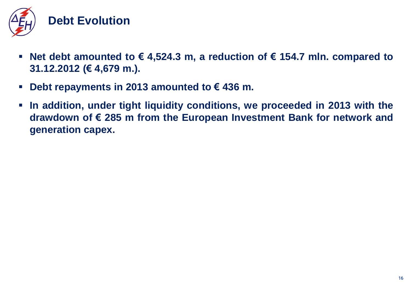

- **Net debt amounted to € 4,524.3 m, a reduction of € 154.7 mln. compared to 31.12.2012 (€ 4,679 m.).**
- **Debt repayments in 2013 amounted to € 436 m.**
- **In addition, under tight liquidity conditions, we proceeded in 2013 with the drawdown of € 285 m from the European Investment Bank for network and generation capex.**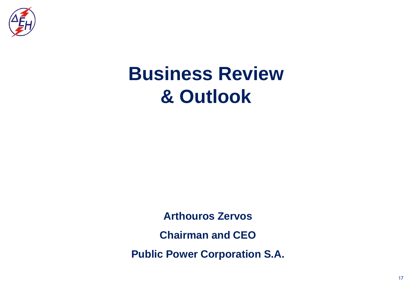

## **Business Review & Outlook**

**Arthouros Zervos Chairman and CEO Public Power Corporation S.A.**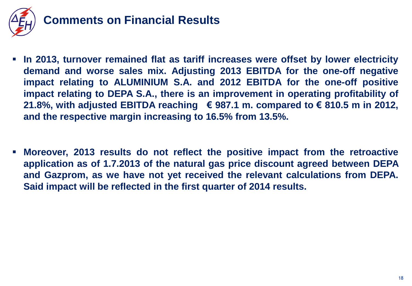

### **Comments on Financial Results**

- **In 2013, turnover remained flat as tariff increases were offset by lower electricity demand and worse sales mix. Adjusting 2013 EBITDA for the one-off negative impact relating to ALUMINIUM S.A. and 2012 EBITDA for the one-off positive impact relating to DEPA S.A., there is an improvement in operating profitability of 21.8%, with adjusted EBITDA reaching € 987.1 m. compared to € 810.5 m in 2012, and the respective margin increasing to 16.5% from 13.5%.**
- **Moreover, 2013 results do not reflect the positive impact from the retroactive application as of 1.7.2013 of the natural gas price discount agreed between DEPA and Gazprom, as we have not yet received the relevant calculations from DEPA. Said impact will be reflected in the first quarter of 2014 results.**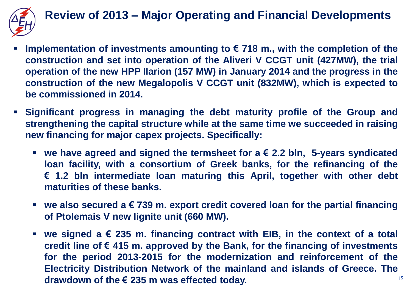

### **Review of 2013 – Major Operating and Financial Developments**

- **Implementation of investments amounting to € 718 m., with the completion of the construction and set into operation of the Aliveri V CCGT unit (427MW), the trial operation of the new HPP Ilarion (157 MW) in January 2014 and the progress in the construction of the new Megalopolis V CCGT unit (832MW), which is expected to be commissioned in 2014.**
- **Significant progress in managing the debt maturity profile of the Group and strengthening the capital structure while at the same time we succeeded in raising new financing for major capex projects. Specifically:**
	- **we have agreed and signed the termsheet for a € 2.2 bln, 5-years syndicated loan facility, with a consortium of Greek banks, for the refinancing of the € 1.2 bln intermediate loan maturing this April, together with other debt maturities of these banks.**
	- **we also secured a € 739 m. export credit covered loan for the partial financing of Ptolemais V new lignite unit (660 MW).**
	- **we signed a € 235 m. financing contract with EIB, in the context of a total credit line of € 415 m. approved by the Bank, for the financing of investments for the period 2013-2015 for the modernization and reinforcement of the Electricity Distribution Network of the mainland and islands of Greece. The drawdown of the € 235 m was effected today.**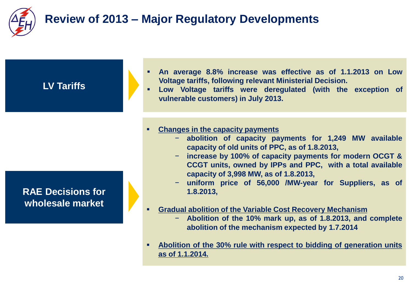

### **Review of 2013 – Major Regulatory Developments**

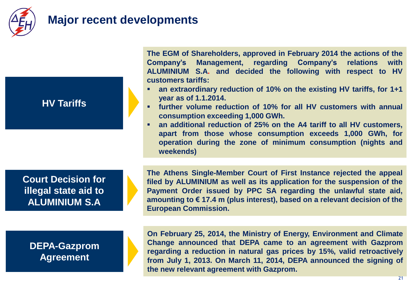

### **Major recent developments**

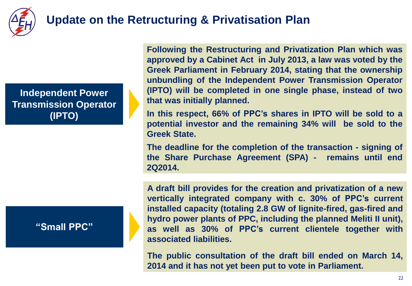

### **Update on the Retructuring & Privatisation Plan**

**Independent Power Transmission Operator (IPTO)**

#### **"Small PPC"**

**Following the Restructuring and Privatization Plan which was approved by a Cabinet Act in July 2013, a law was voted by the Greek Parliament in February 2014, stating that the ownership unbundling of the Independent Power Transmission Operator (IPTO) will be completed in one single phase, instead of two that was initially planned.**

**In this respect, 66% of PPC's shares in IPTO will be sold to a potential investor and the remaining 34% will be sold to the Greek State.**

**The deadline for the completion of the transaction - signing of the Share Purchase Agreement (SPA) - remains until end 2Q2014.**

**A draft bill provides for the creation and privatization of a new vertically integrated company with c. 30% of PPC's current installed capacity (totaling 2.8 GW of lignite-fired, gas-fired and hydro power plants of PPC, including the planned Meliti II unit), as well as 30% of PPC's current clientele together with associated liabilities.**

**The public consultation of the draft bill ended on March 14, 2014 and it has not yet been put to vote in Parliament.**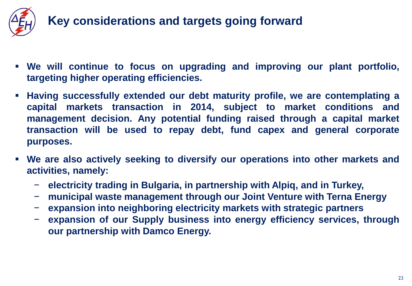

- **We will continue to focus on upgrading and improving our plant portfolio, targeting higher operating efficiencies.**
- **Having successfully extended our debt maturity profile, we are contemplating a capital markets transaction in 2014, subject to market conditions and management decision. Any potential funding raised through a capital market transaction will be used to repay debt, fund capex and general corporate purposes.**
- **We are also actively seeking to diversify our operations into other markets and activities, namely:**
	- − **electricity trading in Bulgaria, in partnership with Alpiq, and in Turkey,**
	- − **municipal waste management through our Joint Venture with Terna Energy**
	- − **expansion into neighboring electricity markets with strategic partners**
	- − **expansion of our Supply business into energy efficiency services, through our partnership with Damco Energy.**